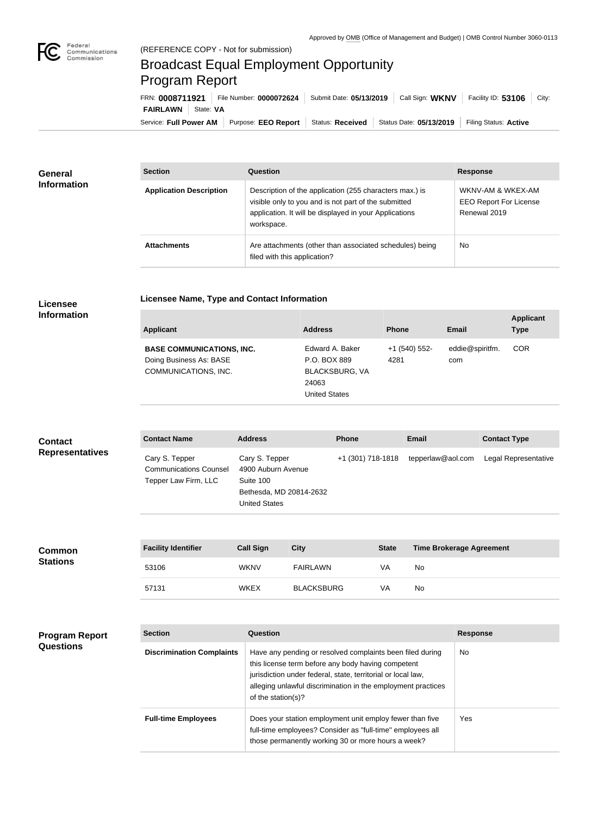

## Broadcast Equal Employment Opportunity Program Report

**Licensee Name, Type and Contact Information**

Service: Full Power AM | Purpose: EEO Report | Status: Received | Status Date: 05/13/2019 | Filing Status: Active **FAIRLAWN** State: VA FRN: **0008711921** File Number: **0000072624** Submit Date: **05/13/2019** Call Sign: **WKNV** Facility ID: **53106** City:

| <b>General</b><br><b>Information</b> | <b>Section</b>                 | <b>Question</b>                                                                                                                                                                         | <b>Response</b>                                                    |  |
|--------------------------------------|--------------------------------|-----------------------------------------------------------------------------------------------------------------------------------------------------------------------------------------|--------------------------------------------------------------------|--|
|                                      | <b>Application Description</b> | Description of the application (255 characters max.) is<br>visible only to you and is not part of the submitted<br>application. It will be displayed in your Applications<br>workspace. | WKNV-AM & WKEX-AM<br><b>EEO Report For License</b><br>Renewal 2019 |  |
|                                      | <b>Attachments</b>             | Are attachments (other than associated schedules) being<br>filed with this application?                                                                                                 | No                                                                 |  |

## **Licensee Information**

| <b>Applicant</b>                                                                    | <b>Address</b>                                                                            | <b>Phone</b>          | <b>Email</b>           | <b>Applicant</b><br><b>Type</b> |
|-------------------------------------------------------------------------------------|-------------------------------------------------------------------------------------------|-----------------------|------------------------|---------------------------------|
| <b>BASE COMMUNICATIONS, INC.</b><br>Doing Business As: BASE<br>COMMUNICATIONS, INC. | Edward A. Baker<br>P.O. BOX 889<br><b>BLACKSBURG, VA</b><br>24063<br><b>United States</b> | +1 (540) 552-<br>4281 | eddie@spiritfm.<br>com | <b>COR</b>                      |

| <b>Contact</b>         | <b>Contact Name</b>                                                     | <b>Address</b>                                                                                       | <b>Phone</b>      | <b>Email</b>      | <b>Contact Type</b>  |
|------------------------|-------------------------------------------------------------------------|------------------------------------------------------------------------------------------------------|-------------------|-------------------|----------------------|
| <b>Representatives</b> | Cary S. Tepper<br><b>Communications Counsel</b><br>Tepper Law Firm, LLC | Cary S. Tepper<br>4900 Auburn Avenue<br>Suite 100<br>Bethesda, MD 20814-2632<br><b>United States</b> | +1 (301) 718-1818 | tepperlaw@aol.com | Legal Representative |

| <b>Common</b><br><b>Stations</b> | <b>Facility Identifier</b> | <b>Call Sign</b> | <b>City</b>       | <b>State</b> | <b>Time Brokerage Agreement</b> |
|----------------------------------|----------------------------|------------------|-------------------|--------------|---------------------------------|
|                                  | 53106                      | <b>WKNV</b>      | FAIRLAWN          | VA           | No                              |
|                                  | 57131                      | <b>WKEX</b>      | <b>BLACKSBURG</b> | VA           | No                              |

| <b>Program Report</b><br><b>Questions</b> | <b>Section</b>                   | Question                                                                                                                                                                                                                                                              | <b>Response</b> |
|-------------------------------------------|----------------------------------|-----------------------------------------------------------------------------------------------------------------------------------------------------------------------------------------------------------------------------------------------------------------------|-----------------|
|                                           | <b>Discrimination Complaints</b> | Have any pending or resolved complaints been filed during<br>this license term before any body having competent<br>jurisdiction under federal, state, territorial or local law,<br>alleging unlawful discrimination in the employment practices<br>of the station(s)? | No.             |
|                                           | <b>Full-time Employees</b>       | Does your station employment unit employ fewer than five<br>full-time employees? Consider as "full-time" employees all<br>those permanently working 30 or more hours a week?                                                                                          | Yes.            |